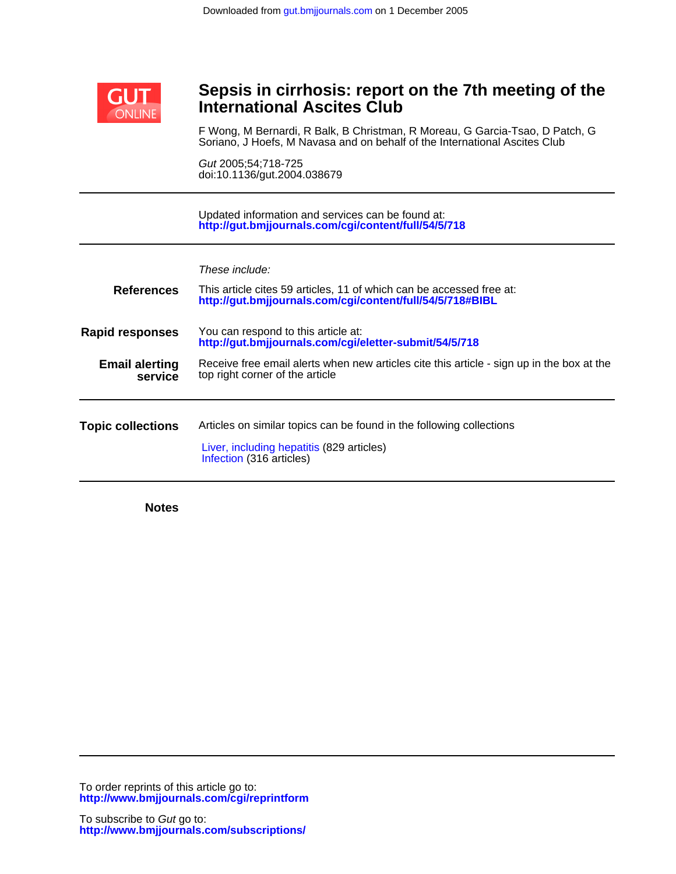

# **International Ascites Club Sepsis in cirrhosis: report on the 7th meeting of the**

Soriano, J Hoefs, M Navasa and on behalf of the International Ascites Club F Wong, M Bernardi, R Balk, B Christman, R Moreau, G Garcia-Tsao, D Patch, G

doi:10.1136/gut.2004.038679 Gut 2005;54;718-725

**<http://gut.bmjjournals.com/cgi/content/full/54/5/718>** Updated information and services can be found at:

|                        | These include:                                                                                                                    |
|------------------------|-----------------------------------------------------------------------------------------------------------------------------------|
| <b>References</b>      | This article cites 59 articles, 11 of which can be accessed free at:<br>http://gut.bmjjournals.com/cgi/content/full/54/5/718#BIBL |
| <b>Rapid responses</b> | You can respond to this article at:<br>http://gut.bmjjournals.com/cgi/eletter-submit/54/5/718                                     |
|                        |                                                                                                                                   |

**service Email alerting** Receive free email alerts wh<br>**service** top right corner of the article Receive free email alerts when new articles cite this article - sign up in the box at the

**Topic collections** [Infection](http://gut.bmjjournals.com/cgi/collection/infection) (316 articles) [Liver, including hepatitis](http://gut.bmjjournals.com/cgi/collection/liver) (829 articles) Articles on similar topics can be found in the following collections

**Notes**

**<http://www.bmjjournals.com/cgi/reprintform>** To order reprints of this article go to: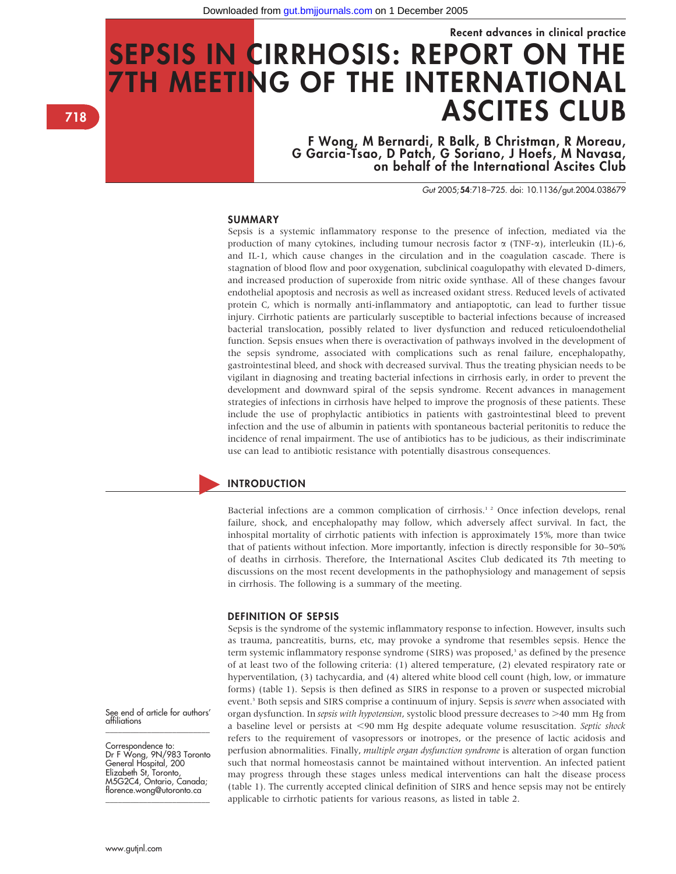# Recent advances in clinical practice SEPSIS IN CIRRHOSIS: REPORT ON THE 7TH MEETING OF THE INTERNATIONAL ASCITES CLUB

F Wong, M Bernardi, R Balk, B Christman, R Moreau, G Garcia-Tsao, D Patch, G Soriano, J Hoefs, M Navasa, on behalf of the International Ascites Club

Gut 2005;54:718–725. doi: 10.1136/gut.2004.038679

# **SUMMARY**

Sepsis is a systemic inflammatory response to the presence of infection, mediated via the production of many cytokines, including tumour necrosis factor  $\alpha$  (TNF- $\alpha$ ), interleukin (IL)-6, and IL-1, which cause changes in the circulation and in the coagulation cascade. There is stagnation of blood flow and poor oxygenation, subclinical coagulopathy with elevated D-dimers, and increased production of superoxide from nitric oxide synthase. All of these changes favour endothelial apoptosis and necrosis as well as increased oxidant stress. Reduced levels of activated protein C, which is normally anti-inflammatory and antiapoptotic, can lead to further tissue injury. Cirrhotic patients are particularly susceptible to bacterial infections because of increased bacterial translocation, possibly related to liver dysfunction and reduced reticuloendothelial function. Sepsis ensues when there is overactivation of pathways involved in the development of the sepsis syndrome, associated with complications such as renal failure, encephalopathy, gastrointestinal bleed, and shock with decreased survival. Thus the treating physician needs to be vigilant in diagnosing and treating bacterial infections in cirrhosis early, in order to prevent the development and downward spiral of the sepsis syndrome. Recent advances in management strategies of infections in cirrhosis have helped to improve the prognosis of these patients. These include the use of prophylactic antibiotics in patients with gastrointestinal bleed to prevent infection and the use of albumin in patients with spontaneous bacterial peritonitis to reduce the incidence of renal impairment. The use of antibiotics has to be judicious, as their indiscriminate use can lead to antibiotic resistance with potentially disastrous consequences.

## **INTRODUCTION**

Bacterial infections are a common complication of cirrhosis.<sup>12</sup> Once infection develops, renal failure, shock, and encephalopathy may follow, which adversely affect survival. In fact, the inhospital mortality of cirrhotic patients with infection is approximately 15%, more than twice that of patients without infection. More importantly, infection is directly responsible for 30–50% of deaths in cirrhosis. Therefore, the International Ascites Club dedicated its 7th meeting to discussions on the most recent developments in the pathophysiology and management of sepsis in cirrhosis. The following is a summary of the meeting.

#### DEFINITION OF SEPSIS

Sepsis is the syndrome of the systemic inflammatory response to infection. However, insults such as trauma, pancreatitis, burns, etc, may provoke a syndrome that resembles sepsis. Hence the term systemic inflammatory response syndrome (SIRS) was proposed,<sup>3</sup> as defined by the presence of at least two of the following criteria: (1) altered temperature, (2) elevated respiratory rate or hyperventilation, (3) tachycardia, and (4) altered white blood cell count (high, low, or immature forms) (table 1). Sepsis is then defined as SIRS in response to a proven or suspected microbial event.<sup>3</sup> Both sepsis and SIRS comprise a continuum of injury. Sepsis is *severe* when associated with organ dysfunction. In *sepsis with hypotension*, systolic blood pressure decreases to  $>40$  mm Hg from a baseline level or persists at <90 mm Hg despite adequate volume resuscitation. Septic shock refers to the requirement of vasopressors or inotropes, or the presence of lactic acidosis and perfusion abnormalities. Finally, multiple organ dysfunction syndrome is alteration of organ function such that normal homeostasis cannot be maintained without intervention. An infected patient may progress through these stages unless medical interventions can halt the disease process (table 1). The currently accepted clinical definition of SIRS and hence sepsis may not be entirely applicable to cirrhotic patients for various reasons, as listed in table 2.

See end of article for authors' affiliations \_\_\_\_\_\_\_\_\_\_\_\_\_\_\_\_\_\_\_\_\_\_\_\_\_

Correspondence to: Dr F Wong, 9N/983 Toronto General Hospital, 200 Elizabeth St, Toronto, M5G2C4, Ontario, Canada; florence.wong@utoronto.ca \_\_\_\_\_\_\_\_\_\_\_\_\_\_\_\_\_\_\_\_\_\_\_\_\_

718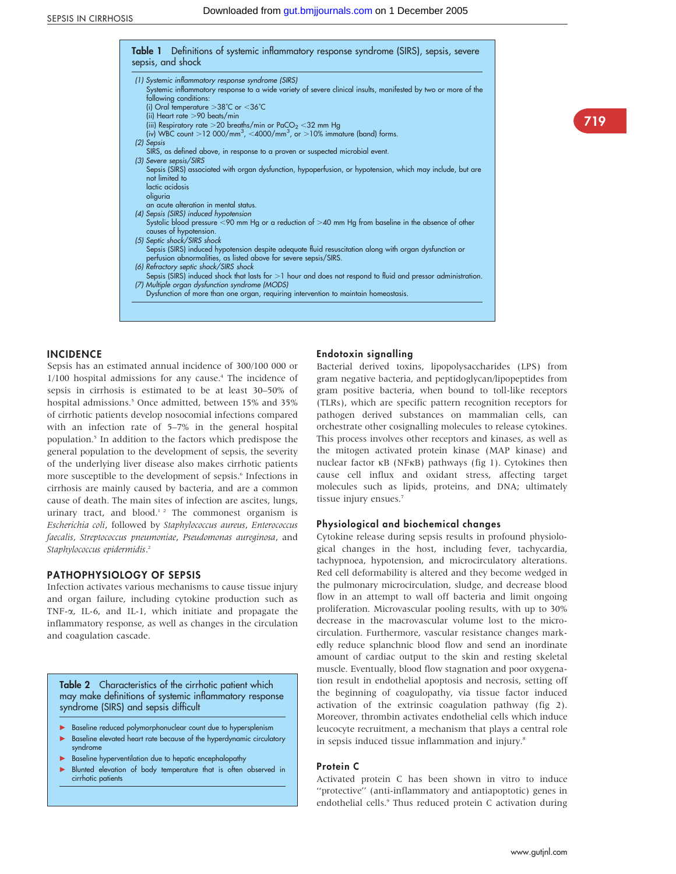| (1) Systemic inflammatory response syndrome (SIRS)                                                                                     |
|----------------------------------------------------------------------------------------------------------------------------------------|
| Systemic inflammatory response to a wide variety of severe clinical insults, manifested by two or more of the<br>following conditions: |
| (i) Oral temperature $>38^{\circ}$ C or $<$ 36 $^{\circ}$ C                                                                            |
| (ii) Heart rate $>$ 90 beats/min                                                                                                       |
| (iii) Respiratory rate > 20 breaths/min or PaCO <sub>2</sub> < 32 mm Hg                                                                |
| (iv) WBC count >12 000/mm <sup>3</sup> , <4000/mm <sup>3</sup> , or >10% immature (band) forms.                                        |
| (2) Sepsis                                                                                                                             |
| SIRS, as defined above, in response to a proven or suspected microbial event.                                                          |
| (3) Severe sepsis/SIRS                                                                                                                 |
| Sepsis (SIRS) associated with organ dysfunction, hypoperfusion, or hypotension, which may include, but are<br>not limited to           |
|                                                                                                                                        |
| lactic acidosis                                                                                                                        |
| oliguria<br>an acute alteration in mental status.                                                                                      |
| (4) Sepsis (SIRS) induced hypotension                                                                                                  |
| Systolic blood pressure $\leq$ 90 mm Hg or a reduction of $>$ 40 mm Hg from baseline in the absence of other                           |
| causes of hypotension.                                                                                                                 |
| (5) Septic shock/SIRS shock                                                                                                            |
| Sepsis (SIRS) induced hypotension despite adequate fluid resuscitation along with organ dysfunction or                                 |
| perfusion abnormalities, as listed above for severe sepsis/SIRS.                                                                       |
| (6) Refractory septic shock/SIRS shock                                                                                                 |
| Sepsis (SIRS) induced shock that lasts for $>1$ hour and does not respond to fluid and pressor administration.                         |
| (7) Multiple organ dysfunction syndrome (MODS)                                                                                         |
| Dysfunction of more than one organ, requiring intervention to maintain homeostasis.                                                    |

# 719

# INCIDENCE

Sepsis has an estimated annual incidence of 300/100 000 or  $1/100$  hospital admissions for any cause.<sup>4</sup> The incidence of sepsis in cirrhosis is estimated to be at least 30–50% of hospital admissions.<sup>5</sup> Once admitted, between 15% and 35% of cirrhotic patients develop nosocomial infections compared with an infection rate of 5–7% in the general hospital population.5 In addition to the factors which predispose the general population to the development of sepsis, the severity of the underlying liver disease also makes cirrhotic patients more susceptible to the development of sepsis.<sup>6</sup> Infections in cirrhosis are mainly caused by bacteria, and are a common cause of death. The main sites of infection are ascites, lungs, urinary tract, and blood.<sup>12</sup> The commonest organism is Escherichia coli, followed by Staphylococcus aureus, Enterococcus faecalis, Streptococcus pneumoniae, Pseudomonas aureginosa, and Staphylococcus epidermidis.<sup>2</sup>

# PATHOPHYSIOLOGY OF SEPSIS

Infection activates various mechanisms to cause tissue injury and organ failure, including cytokine production such as TNF-a, IL-6, and IL-1, which initiate and propagate the inflammatory response, as well as changes in the circulation and coagulation cascade.

Table 2 Characteristics of the cirrhotic patient which may make definitions of systemic inflammatory response syndrome (SIRS) and sepsis difficult

- Baseline reduced polymorphonuclear count due to hypersplenism
- Baseline elevated heart rate because of the hyperdynamic circulatory syndrome
- Baseline hyperventilation due to hepatic encephalopathy
- Blunted elevation of body temperature that is often observed in cirrhotic patients

#### Endotoxin signalling

Bacterial derived toxins, lipopolysaccharides (LPS) from gram negative bacteria, and peptidoglycan/lipopeptides from gram positive bacteria, when bound to toll-like receptors (TLRs), which are specific pattern recognition receptors for pathogen derived substances on mammalian cells, can orchestrate other cosignalling molecules to release cytokines. This process involves other receptors and kinases, as well as the mitogen activated protein kinase (MAP kinase) and nuclear factor  $\kappa$ B (NF $\kappa$ B) pathways (fig 1). Cytokines then cause cell influx and oxidant stress, affecting target molecules such as lipids, proteins, and DNA; ultimately tissue injury ensues.<sup>7</sup>

#### Physiological and biochemical changes

Cytokine release during sepsis results in profound physiological changes in the host, including fever, tachycardia, tachypnoea, hypotension, and microcirculatory alterations. Red cell deformability is altered and they become wedged in the pulmonary microcirculation, sludge, and decrease blood flow in an attempt to wall off bacteria and limit ongoing proliferation. Microvascular pooling results, with up to 30% decrease in the macrovascular volume lost to the microcirculation. Furthermore, vascular resistance changes markedly reduce splanchnic blood flow and send an inordinate amount of cardiac output to the skin and resting skeletal muscle. Eventually, blood flow stagnation and poor oxygenation result in endothelial apoptosis and necrosis, setting off the beginning of coagulopathy, via tissue factor induced activation of the extrinsic coagulation pathway (fig 2). Moreover, thrombin activates endothelial cells which induce leucocyte recruitment, a mechanism that plays a central role in sepsis induced tissue inflammation and injury.<sup>8</sup>

## Protein C

Activated protein C has been shown in vitro to induce ''protective'' (anti-inflammatory and antiapoptotic) genes in endothelial cells.<sup>9</sup> Thus reduced protein C activation during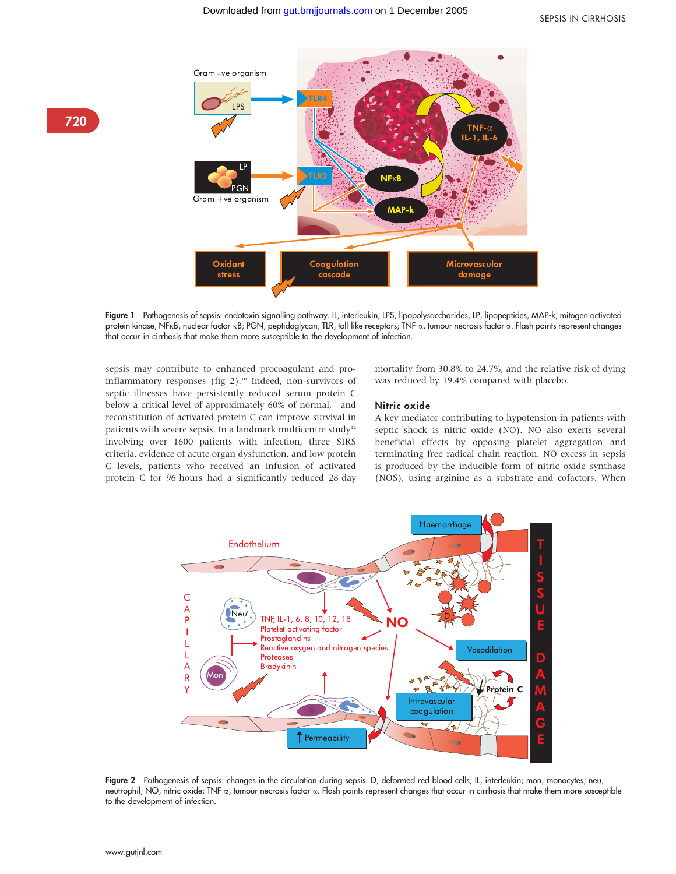

Figure 1 Pathogenesis of sepsis: endotoxin signalling pathway. IL, interleukin, LPS, lipopolysaccharides, LP, lipopeptides, MAP-k, mitogen activated protein kinase, NFkB, nuclear factor kB; PGN, peptidoglycan; TLR, toll-like receptors; TNF-a, tumour necrosis factor a. Flash points represent changes that occur in cirrhosis that make them more susceptible to the development of infection.

sepsis may contribute to enhanced procoagulant and proinflammatory responses (fig 2).<sup>10</sup> Indeed, non-survivors of septic illnesses have persistently reduced serum protein C below a critical level of approximately 60% of normal,<sup>11</sup> and reconstitution of activated protein C can improve survival in patients with severe sepsis. In a landmark multicentre study<sup>12</sup> involving over 1600 patients with infection, three SIRS criteria, evidence of acute organ dysfunction, and low protein C levels, patients who received an infusion of activated protein C for 96 hours had a significantly reduced 28 day

mortality from 30.8% to 24.7%, and the relative risk of dying was reduced by 19.4% compared with placebo.

#### Nitric oxide

A key mediator contributing to hypotension in patients with septic shock is nitric oxide (NO). NO also exerts several beneficial effects by opposing platelet aggregation and terminating free radical chain reaction. NO excess in sepsis is produced by the inducible form of nitric oxide synthase (NOS), using arginine as a substrate and cofactors. When



Figure 2 Pathogenesis of sepsis: changes in the circulation during sepsis. D, deformed red blood cells; IL, interleukin; mon, monocytes; neu, neutrophil; NO, nitric oxide; TNF-a, tumour necrosis factor a. Flash points represent changes that occur in cirrhosis that make them more susceptible to the development of infection.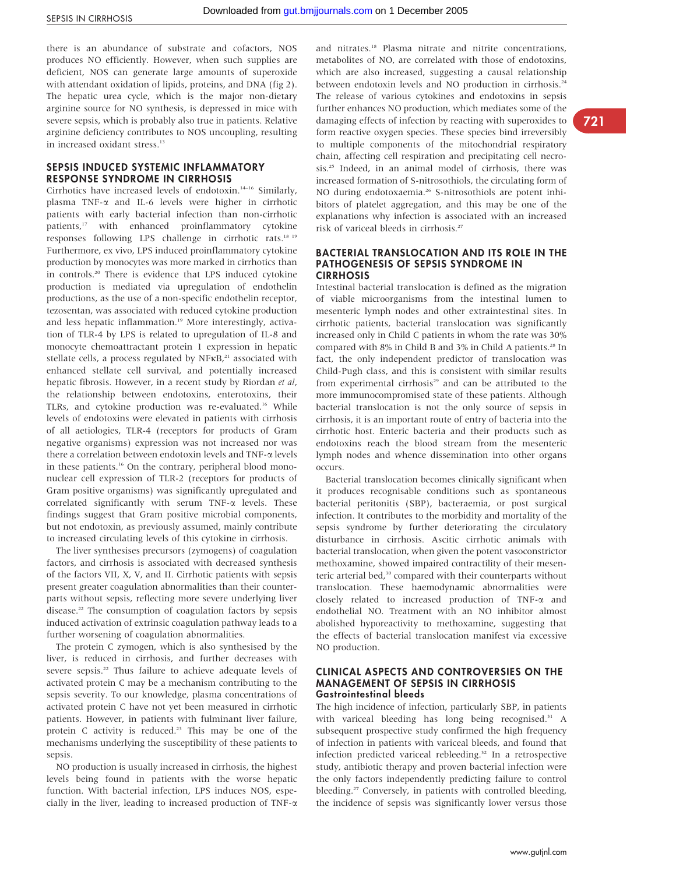there is an abundance of substrate and cofactors, NOS produces NO efficiently. However, when such supplies are deficient, NOS can generate large amounts of superoxide with attendant oxidation of lipids, proteins, and DNA (fig 2). The hepatic urea cycle, which is the major non-dietary arginine source for NO synthesis, is depressed in mice with severe sepsis, which is probably also true in patients. Relative arginine deficiency contributes to NOS uncoupling, resulting in increased oxidant stress.<sup>13</sup>

# SEPSIS INDUCED SYSTEMIC INFLAMMATORY RESPONSE SYNDROME IN CIRRHOSIS

Cirrhotics have increased levels of endotoxin.14–16 Similarly, plasma TNF-a and IL-6 levels were higher in cirrhotic patients with early bacterial infection than non-cirrhotic patients,<sup>17</sup> with enhanced proinflammatory cytokine responses following LPS challenge in cirrhotic rats.18 19 Furthermore, ex vivo, LPS induced proinflammatory cytokine production by monocytes was more marked in cirrhotics than in controls.20 There is evidence that LPS induced cytokine production is mediated via upregulation of endothelin productions, as the use of a non-specific endothelin receptor, tezosentan, was associated with reduced cytokine production and less hepatic inflammation.<sup>19</sup> More interestingly, activation of TLR-4 by LPS is related to upregulation of IL-8 and monocyte chemoattractant protein 1 expression in hepatic stellate cells, a process regulated by  $NFKB<sub>r</sub><sup>21</sup>$  associated with enhanced stellate cell survival, and potentially increased hepatic fibrosis. However, in a recent study by Riordan et al, the relationship between endotoxins, enterotoxins, their TLRs, and cytokine production was re-evaluated.<sup>16</sup> While levels of endotoxins were elevated in patients with cirrhosis of all aetiologies, TLR-4 (receptors for products of Gram negative organisms) expression was not increased nor was there a correlation between endotoxin levels and TNF-a levels in these patients.<sup>16</sup> On the contrary, peripheral blood mononuclear cell expression of TLR-2 (receptors for products of Gram positive organisms) was significantly upregulated and correlated significantly with serum TNF-a levels. These findings suggest that Gram positive microbial components, but not endotoxin, as previously assumed, mainly contribute to increased circulating levels of this cytokine in cirrhosis.

The liver synthesises precursors (zymogens) of coagulation factors, and cirrhosis is associated with decreased synthesis of the factors VII, X, V, and II. Cirrhotic patients with sepsis present greater coagulation abnormalities than their counterparts without sepsis, reflecting more severe underlying liver disease.<sup>22</sup> The consumption of coagulation factors by sepsis induced activation of extrinsic coagulation pathway leads to a further worsening of coagulation abnormalities.

The protein C zymogen, which is also synthesised by the liver, is reduced in cirrhosis, and further decreases with severe sepsis.<sup>22</sup> Thus failure to achieve adequate levels of activated protein C may be a mechanism contributing to the sepsis severity. To our knowledge, plasma concentrations of activated protein C have not yet been measured in cirrhotic patients. However, in patients with fulminant liver failure, protein C activity is reduced.<sup>23</sup> This may be one of the mechanisms underlying the susceptibility of these patients to sepsis.

NO production is usually increased in cirrhosis, the highest levels being found in patients with the worse hepatic function. With bacterial infection, LPS induces NOS, especially in the liver, leading to increased production of  $TNF-\alpha$  and nitrates.18 Plasma nitrate and nitrite concentrations, metabolites of NO, are correlated with those of endotoxins, which are also increased, suggesting a causal relationship between endotoxin levels and NO production in cirrhosis.<sup>24</sup> The release of various cytokines and endotoxins in sepsis further enhances NO production, which mediates some of the damaging effects of infection by reacting with superoxides to form reactive oxygen species. These species bind irreversibly to multiple components of the mitochondrial respiratory chain, affecting cell respiration and precipitating cell necrosis.25 Indeed, in an animal model of cirrhosis, there was increased formation of S-nitrosothiols, the circulating form of NO during endotoxaemia.<sup>26</sup> S-nitrosothiols are potent inhibitors of platelet aggregation, and this may be one of the explanations why infection is associated with an increased risk of variceal bleeds in cirrhosis.27

#### BACTERIAL TRANSLOCATION AND ITS ROLE IN THE PATHOGENESIS OF SEPSIS SYNDROME IN **CIRRHOSIS**

Intestinal bacterial translocation is defined as the migration of viable microorganisms from the intestinal lumen to mesenteric lymph nodes and other extraintestinal sites. In cirrhotic patients, bacterial translocation was significantly increased only in Child C patients in whom the rate was 30% compared with 8% in Child B and 3% in Child A patients.<sup>28</sup> In fact, the only independent predictor of translocation was Child-Pugh class, and this is consistent with similar results from experimental cirrhosis<sup>29</sup> and can be attributed to the more immunocompromised state of these patients. Although bacterial translocation is not the only source of sepsis in cirrhosis, it is an important route of entry of bacteria into the cirrhotic host. Enteric bacteria and their products such as endotoxins reach the blood stream from the mesenteric lymph nodes and whence dissemination into other organs occurs.

Bacterial translocation becomes clinically significant when it produces recognisable conditions such as spontaneous bacterial peritonitis (SBP), bacteraemia, or post surgical infection. It contributes to the morbidity and mortality of the sepsis syndrome by further deteriorating the circulatory disturbance in cirrhosis. Ascitic cirrhotic animals with bacterial translocation, when given the potent vasoconstrictor methoxamine, showed impaired contractility of their mesenteric arterial bed,<sup>30</sup> compared with their counterparts without translocation. These haemodynamic abnormalities were closely related to increased production of TNF-a and endothelial NO. Treatment with an NO inhibitor almost abolished hyporeactivity to methoxamine, suggesting that the effects of bacterial translocation manifest via excessive NO production.

#### CLINICAL ASPECTS AND CONTROVERSIES ON THE MANAGEMENT OF SEPSIS IN CIRRHOSIS Gastrointestinal bleeds

The high incidence of infection, particularly SBP, in patients with variceal bleeding has long being recognised.<sup>31</sup> A subsequent prospective study confirmed the high frequency of infection in patients with variceal bleeds, and found that infection predicted variceal rebleeding.32 In a retrospective study, antibiotic therapy and proven bacterial infection were the only factors independently predicting failure to control bleeding.<sup>27</sup> Conversely, in patients with controlled bleeding, the incidence of sepsis was significantly lower versus those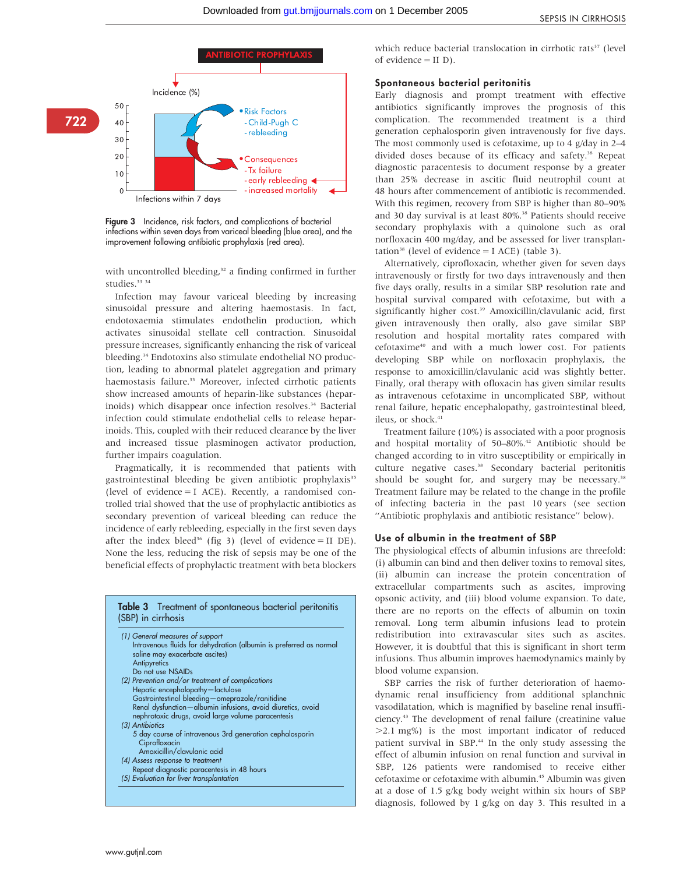

Figure 3 Incidence, risk factors, and complications of bacterial infections within seven days from variceal bleeding (blue area), and the improvement following antibiotic prophylaxis (red area).

with uncontrolled bleeding,<sup>32</sup> a finding confirmed in further studies.<sup>33</sup> 34

Infection may favour variceal bleeding by increasing sinusoidal pressure and altering haemostasis. In fact, endotoxaemia stimulates endothelin production, which activates sinusoidal stellate cell contraction. Sinusoidal pressure increases, significantly enhancing the risk of variceal bleeding.34 Endotoxins also stimulate endothelial NO production, leading to abnormal platelet aggregation and primary haemostasis failure.<sup>33</sup> Moreover, infected cirrhotic patients show increased amounts of heparin-like substances (heparinoids) which disappear once infection resolves.<sup>34</sup> Bacterial infection could stimulate endothelial cells to release heparinoids. This, coupled with their reduced clearance by the liver and increased tissue plasminogen activator production, further impairs coagulation.

Pragmatically, it is recommended that patients with gastrointestinal bleeding be given antibiotic prophylaxis<sup>35</sup> (level of evidence = I ACE). Recently, a randomised controlled trial showed that the use of prophylactic antibiotics as secondary prevention of variceal bleeding can reduce the incidence of early rebleeding, especially in the first seven days after the index bleed<sup>36</sup> (fig 3) (level of evidence = II DE). None the less, reducing the risk of sepsis may be one of the beneficial effects of prophylactic treatment with beta blockers

#### Table 3 Treatment of spontaneous bacterial peritonitis (SBP) in cirrhosis

| (1) General measures of support<br>Intravenous fluids for dehydration (albumin is preferred as normal<br>saline may exacerbate ascites) |
|-----------------------------------------------------------------------------------------------------------------------------------------|
| Antipyretics<br>Do not use NSAIDs                                                                                                       |
| (2) Prevention and/or treatment of complications                                                                                        |
| Hepatic encephalopathy-lactulose                                                                                                        |
| Gastrointestinal bleeding-omeprazole/ranitidine                                                                                         |
| Renal dysfunction-albumin infusions, avoid diuretics, avoid<br>nephrotoxic drugs, avoid large volume paracentesis                       |
| (3) Antibiotics                                                                                                                         |
| 5 day course of intravenous 3rd generation cephalosporin<br>Ciprofloxacin                                                               |
| Amoxicillin/clavulanic acid                                                                                                             |
| (4) Assess response to treatment                                                                                                        |
| Repeat diagnostic paracentesis in 48 hours                                                                                              |
| (5) Evaluation for liver transplantation                                                                                                |

which reduce bacterial translocation in cirrhotic rats<sup>37</sup> (level of evidence  $=$  II D).

#### Spontaneous bacterial peritonitis

Early diagnosis and prompt treatment with effective antibiotics significantly improves the prognosis of this complication. The recommended treatment is a third generation cephalosporin given intravenously for five days. The most commonly used is cefotaxime, up to 4 g/day in 2–4 divided doses because of its efficacy and safety.<sup>38</sup> Repeat diagnostic paracentesis to document response by a greater than 25% decrease in ascitic fluid neutrophil count at 48 hours after commencement of antibiotic is recommended. With this regimen, recovery from SBP is higher than 80–90% and 30 day survival is at least 80%.<sup>38</sup> Patients should receive secondary prophylaxis with a quinolone such as oral norfloxacin 400 mg/day, and be assessed for liver transplantation<sup>38</sup> (level of evidence  $=$  I ACE) (table 3).

Alternatively, ciprofloxacin, whether given for seven days intravenously or firstly for two days intravenously and then five days orally, results in a similar SBP resolution rate and hospital survival compared with cefotaxime, but with a significantly higher cost.<sup>39</sup> Amoxicillin/clavulanic acid, first given intravenously then orally, also gave similar SBP resolution and hospital mortality rates compared with cefotaxime40 and with a much lower cost. For patients developing SBP while on norfloxacin prophylaxis, the response to amoxicillin/clavulanic acid was slightly better. Finally, oral therapy with ofloxacin has given similar results as intravenous cefotaxime in uncomplicated SBP, without renal failure, hepatic encephalopathy, gastrointestinal bleed, ileus, or shock.<sup>41</sup>

Treatment failure (10%) is associated with a poor prognosis and hospital mortality of 50–80%.<sup>42</sup> Antibiotic should be changed according to in vitro susceptibility or empirically in culture negative cases.<sup>38</sup> Secondary bacterial peritonitis should be sought for, and surgery may be necessary.<sup>38</sup> Treatment failure may be related to the change in the profile of infecting bacteria in the past 10 years (see section ''Antibiotic prophylaxis and antibiotic resistance'' below).

#### Use of albumin in the treatment of SBP

The physiological effects of albumin infusions are threefold: (i) albumin can bind and then deliver toxins to removal sites, (ii) albumin can increase the protein concentration of extracellular compartments such as ascites, improving opsonic activity, and (iii) blood volume expansion. To date, there are no reports on the effects of albumin on toxin removal. Long term albumin infusions lead to protein redistribution into extravascular sites such as ascites. However, it is doubtful that this is significant in short term infusions. Thus albumin improves haemodynamics mainly by blood volume expansion.

SBP carries the risk of further deterioration of haemodynamic renal insufficiency from additional splanchnic vasodilatation, which is magnified by baseline renal insufficiency.43 The development of renal failure (creatinine value  $>2.1$  mg%) is the most important indicator of reduced patient survival in SBP.<sup>44</sup> In the only study assessing the effect of albumin infusion on renal function and survival in SBP, 126 patients were randomised to receive either cefotaxime or cefotaxime with albumin.45 Albumin was given at a dose of 1.5 g/kg body weight within six hours of SBP diagnosis, followed by 1 g/kg on day 3. This resulted in a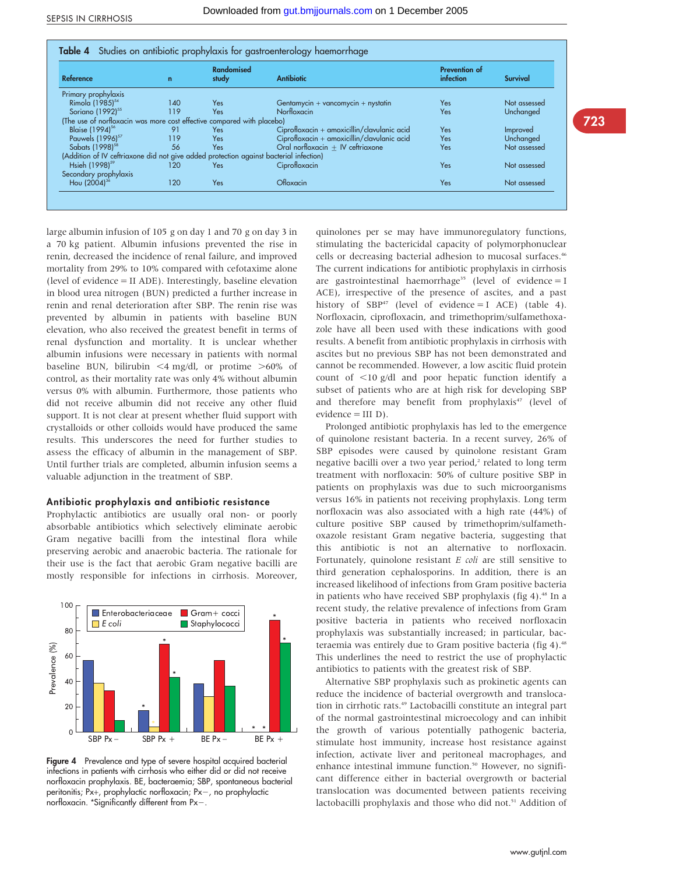| <b>Reference</b>                                                                       | $\mathbf{r}$ | <b>Randomised</b><br>study | <b>Antibiotic</b>                             | Prevention of<br>infection | <b>Survival</b> |
|----------------------------------------------------------------------------------------|--------------|----------------------------|-----------------------------------------------|----------------------------|-----------------|
| Primary prophylaxis                                                                    |              |                            |                                               |                            |                 |
| Rimola (1985) <sup>54</sup>                                                            | 140          | Yes                        | Gentamycin + vancomycin + nystatin            | Yes                        | Not assessed    |
| Soriano (1992) <sup>55</sup>                                                           | 119          | Yes                        | Norfloxacin                                   | Yes                        | Unchanged       |
| (The use of norfloxacin was more cost effective compared with placebo)                 |              |                            |                                               |                            |                 |
| Blaise (1994) <sup>56</sup>                                                            | 91           | Yes                        | $Ciprofloxacin + amoxicillin/clavulanic acid$ | Yes                        | Improved        |
| Pauwels (1996) <sup>57</sup>                                                           | 119          | Yes                        | Ciprofloxacin + amoxicillin/clavulanic acid   | Yes                        | Unchanged       |
| Sabats (1998) <sup>58</sup>                                                            | 56           | Yes                        | Oral norfloxacin $+$ IV ceftriaxone           | Yes                        | Not assessed    |
| (Addition of IV ceftriaxone did not give added protection against bacterial infection) |              |                            |                                               |                            |                 |
| Hsieh (1998) <sup>59</sup>                                                             | 120          | Yes                        | Ciprofloxacin                                 | Yes                        | Not assessed    |
| Secondary prophylaxis                                                                  |              |                            |                                               |                            |                 |
| Hou (2004) <sup>36</sup>                                                               | 120          | Yes                        | Ofloxacin                                     | Yes                        | Not assessed    |

large albumin infusion of 105 g on day 1 and 70 g on day 3 in a 70 kg patient. Albumin infusions prevented the rise in renin, decreased the incidence of renal failure, and improved mortality from 29% to 10% compared with cefotaxime alone (level of evidence = II ADE). Interestingly, baseline elevation in blood urea nitrogen (BUN) predicted a further increase in renin and renal deterioration after SBP. The renin rise was prevented by albumin in patients with baseline BUN elevation, who also received the greatest benefit in terms of renal dysfunction and mortality. It is unclear whether albumin infusions were necessary in patients with normal baseline BUN, bilirubin  $\leq 4$  mg/dl, or protime  $\geq 60\%$  of control, as their mortality rate was only 4% without albumin versus 0% with albumin. Furthermore, those patients who did not receive albumin did not receive any other fluid support. It is not clear at present whether fluid support with crystalloids or other colloids would have produced the same results. This underscores the need for further studies to assess the efficacy of albumin in the management of SBP. Until further trials are completed, albumin infusion seems a valuable adjunction in the treatment of SBP.

#### Antibiotic prophylaxis and antibiotic resistance

Prophylactic antibiotics are usually oral non- or poorly absorbable antibiotics which selectively eliminate aerobic Gram negative bacilli from the intestinal flora while preserving aerobic and anaerobic bacteria. The rationale for their use is the fact that aerobic Gram negative bacilli are mostly responsible for infections in cirrhosis. Moreover,



Figure 4 Prevalence and type of severe hospital acquired bacterial infections in patients with cirrhosis who either did or did not receive norfloxacin prophylaxis. BE, bacteraemia; SBP, spontaneous bacterial peritonitis;  $Px+$ , prophylactic norfloxacin;  $Px-$ , no prophylactic norfloxacin. \*Significantly different from  $Px-$ .

quinolones per se may have immunoregulatory functions, stimulating the bactericidal capacity of polymorphonuclear cells or decreasing bacterial adhesion to mucosal surfaces.<sup>46</sup> The current indications for antibiotic prophylaxis in cirrhosis are gastrointestinal haemorrhage<sup>35</sup> (level of evidence = I ACE), irrespective of the presence of ascites, and a past history of  $SBP47$  (level of evidence = I ACE) (table 4). Norfloxacin, ciprofloxacin, and trimethoprim/sulfamethoxazole have all been used with these indications with good results. A benefit from antibiotic prophylaxis in cirrhosis with ascites but no previous SBP has not been demonstrated and cannot be recommended. However, a low ascitic fluid protein count of  $\langle 10 \text{ g/d} \rangle$  and poor hepatic function identify a subset of patients who are at high risk for developing SBP and therefore may benefit from prophylaxis<sup>47</sup> (level of evidence = III D).

Prolonged antibiotic prophylaxis has led to the emergence of quinolone resistant bacteria. In a recent survey, 26% of SBP episodes were caused by quinolone resistant Gram negative bacilli over a two year period,<sup>2</sup> related to long term treatment with norfloxacin: 50% of culture positive SBP in patients on prophylaxis was due to such microorganisms versus 16% in patients not receiving prophylaxis. Long term norfloxacin was also associated with a high rate (44%) of culture positive SBP caused by trimethoprim/sulfamethoxazole resistant Gram negative bacteria, suggesting that this antibiotic is not an alternative to norfloxacin. Fortunately, quinolone resistant  $E$  coli are still sensitive to third generation cephalosporins. In addition, there is an increased likelihood of infections from Gram positive bacteria in patients who have received SBP prophylaxis (fig  $4$ ).<sup>48</sup> In a recent study, the relative prevalence of infections from Gram positive bacteria in patients who received norfloxacin prophylaxis was substantially increased; in particular, bacteraemia was entirely due to Gram positive bacteria (fig 4).<sup>48</sup> This underlines the need to restrict the use of prophylactic antibiotics to patients with the greatest risk of SBP.

Alternative SBP prophylaxis such as prokinetic agents can reduce the incidence of bacterial overgrowth and translocation in cirrhotic rats.49 Lactobacilli constitute an integral part of the normal gastrointestinal microecology and can inhibit the growth of various potentially pathogenic bacteria, stimulate host immunity, increase host resistance against infection, activate liver and peritoneal macrophages, and enhance intestinal immune function.<sup>50</sup> However, no significant difference either in bacterial overgrowth or bacterial translocation was documented between patients receiving lactobacilli prophylaxis and those who did not.<sup>51</sup> Addition of 723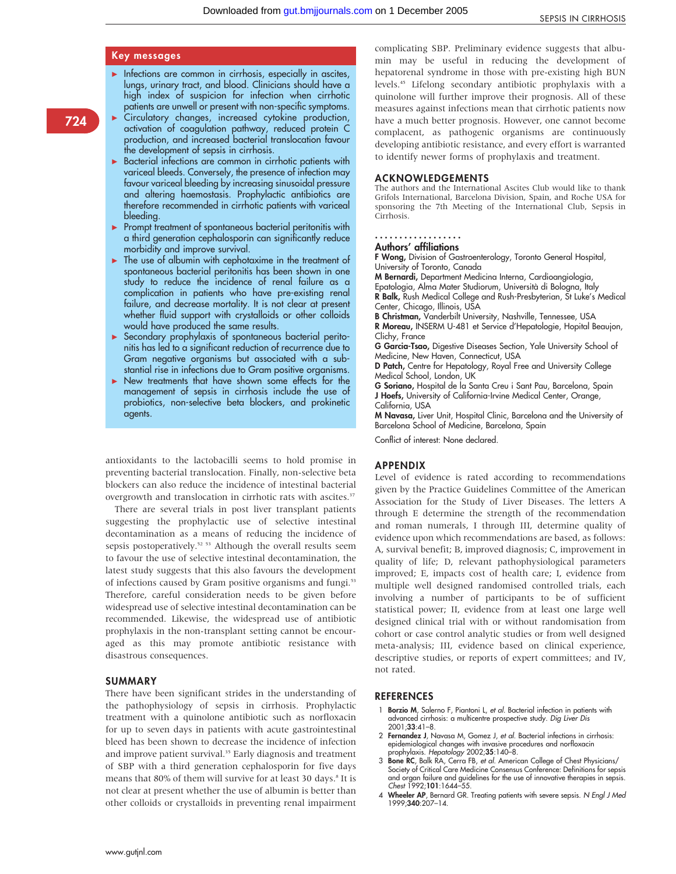## Key messages

- $\blacktriangleright$  Infections are common in cirrhosis, especially in ascites, lungs, urinary tract, and blood. Clinicians should have a high index of suspicion for infection when cirrhotic patients are unwell or present with non-specific symptoms.
- $\blacktriangleright$  Circulatory changes, increased cytokine production, activation of coagulation pathway, reduced protein C production, and increased bacterial translocation favour the development of sepsis in cirrhosis.
- $\triangleright$  Bacterial infections are common in cirrhotic patients with variceal bleeds. Conversely, the presence of infection may favour variceal bleeding by increasing sinusoidal pressure and altering haemostasis. Prophylactic antibiotics are therefore recommended in cirrhotic patients with variceal bleeding.
- $\blacktriangleright$  Prompt treatment of spontaneous bacterial peritonitis with a third generation cephalosporin can significantly reduce morbidity and improve survival.
- $\blacktriangleright$  The use of albumin with cephotaxime in the treatment of spontaneous bacterial peritonitis has been shown in one study to reduce the incidence of renal failure as a complication in patients who have pre-existing renal failure, and decrease mortality. It is not clear at present whether fluid support with crystalloids or other colloids would have produced the same results.
- $\triangleright$  Secondary prophylaxis of spontaneous bacterial peritonitis has led to a significant reduction of recurrence due to Gram negative organisms but associated with a substantial rise in infections due to Gram positive organisms.
- $\blacktriangleright$  New treatments that have shown some effects for the management of sepsis in cirrhosis include the use of probiotics, non-selective beta blockers, and prokinetic agents.

antioxidants to the lactobacilli seems to hold promise in preventing bacterial translocation. Finally, non-selective beta blockers can also reduce the incidence of intestinal bacterial overgrowth and translocation in cirrhotic rats with ascites.<sup>37</sup>

There are several trials in post liver transplant patients suggesting the prophylactic use of selective intestinal decontamination as a means of reducing the incidence of sepsis postoperatively.<sup>52 53</sup> Although the overall results seem to favour the use of selective intestinal decontamination, the latest study suggests that this also favours the development of infections caused by Gram positive organisms and fungi.<sup>53</sup> Therefore, careful consideration needs to be given before widespread use of selective intestinal decontamination can be recommended. Likewise, the widespread use of antibiotic prophylaxis in the non-transplant setting cannot be encouraged as this may promote antibiotic resistance with disastrous consequences.

#### SUMMARY

There have been significant strides in the understanding of the pathophysiology of sepsis in cirrhosis. Prophylactic treatment with a quinolone antibiotic such as norfloxacin for up to seven days in patients with acute gastrointestinal bleed has been shown to decrease the incidence of infection and improve patient survival.<sup>35</sup> Early diagnosis and treatment of SBP with a third generation cephalosporin for five days means that 80% of them will survive for at least 30 days.<sup>8</sup> It is not clear at present whether the use of albumin is better than other colloids or crystalloids in preventing renal impairment

#### ACKNOWLEDGEMENTS

The authors and the International Ascites Club would like to thank Grifols International, Barcelona Division, Spain, and Roche USA for sponsoring the 7th Meeting of the International Club, Sepsis in Cirrhosis.

# ..................

Authors' affiliations

F Wong, Division of Gastroenterology, Toronto General Hospital, University of Toronto, Canada

M Bernardi, Department Medicina Interna, Cardioangiologia, Epatologia, Alma Mater Studiorum, Universita` di Bologna, Italy R Balk, Rush Medical College and Rush-Presbyterian, St Luke's Medical Center, Chicago, Illinois, USA

B Christman, Vanderbilt University, Nashville, Tennessee, USA R Moreau, INSERM U-481 et Service d'Hepatologie, Hopital Beaujon, Clichy, France

G Garcia-Tsao, Digestive Diseases Section, Yale University School of Medicine, New Haven, Connecticut, USA

D Patch, Centre for Hepatology, Royal Free and University College Medical School, London, UK

G Soriano, Hospital de la Santa Creu i Sant Pau, Barcelona, Spain J Hoefs, University of California-Irvine Medical Center, Orange, California, USA

M Navasa, Liver Unit, Hospital Clinic, Barcelona and the University of Barcelona School of Medicine, Barcelona, Spain

Conflict of interest: None declared.

#### APPENDIX

Level of evidence is rated according to recommendations given by the Practice Guidelines Committee of the American Association for the Study of Liver Diseases. The letters A through E determine the strength of the recommendation and roman numerals, I through III, determine quality of evidence upon which recommendations are based, as follows: A, survival benefit; B, improved diagnosis; C, improvement in quality of life; D, relevant pathophysiological parameters improved; E, impacts cost of health care; I, evidence from multiple well designed randomised controlled trials, each involving a number of participants to be of sufficient statistical power; II, evidence from at least one large well designed clinical trial with or without randomisation from cohort or case control analytic studies or from well designed meta-analysis; III, evidence based on clinical experience, descriptive studies, or reports of expert committees; and IV, not rated.

#### **REFERENCES**

- Borzio M, Salerno F, Piantoni L, et al. Bacterial infection in patients with advanced cirrhosis: a multicentre prospective study. Dig Liver Dis 2001;33:41–8.
- 2 Fernandez J, Navasa M, Gomez J, et al. Bacterial infections in cirrhosis: epidemiological changes with invasive procedures and norfloxacin prophylaxis. Hepatology 2002;35:140–8.
- 3 Bone RC, Balk RA, Cerra FB, et al. American College of Chest Physicians/ Society of Critical Care Medicine Consensus Conference: Definitions for sepsis and organ failure and guidelines for the use of innovative therapies in sepsis. Chest 1992;101:1644–55.
- 4 Wheeler AP, Bernard GR. Treating patients with severe sepsis. N Engl J Med 1999;340:207–14.